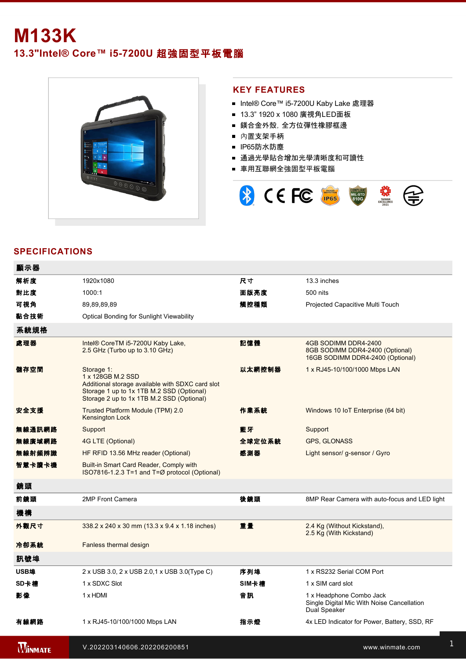## **M133K 13.3"Intel® Core™ i57200U** 超強固型平板電腦



## **KEY FEATURES**

- Intel® Core™ i5-7200U Kaby Lake 處理器
- 13.3" 1920 x 1080 廣視角LED面板
- 鎂合金外殼,全方位彈性橡膠框邊
- 內置支架手柄
- IP65防水防塵
- 通過光學貼合增加光學清晰度和可讀性
- 車用互聯網全強固型平板電腦



## **SPECIFICATIONS**

| 顯示器            |                                                                                                                                                                               |        |                                                                                             |
|----------------|-------------------------------------------------------------------------------------------------------------------------------------------------------------------------------|--------|---------------------------------------------------------------------------------------------|
| 解析度            | 1920x1080                                                                                                                                                                     | 尺寸     | 13.3 inches                                                                                 |
| 對比度            | 1000:1                                                                                                                                                                        | 面版亮度   | 500 nits                                                                                    |
| 可視角            | 89,89,89,89                                                                                                                                                                   | 觸控種類   | Projected Capacitive Multi Touch                                                            |
| 黏合技術           | <b>Optical Bonding for Sunlight Viewability</b>                                                                                                                               |        |                                                                                             |
| 系統規格           |                                                                                                                                                                               |        |                                                                                             |
| 處理器            | Intel® CoreTM i5-7200U Kaby Lake,<br>2.5 GHz (Turbo up to 3.10 GHz)                                                                                                           | 記憶體    | 4GB SODIMM DDR4-2400<br>8GB SODIMM DDR4-2400 (Optional)<br>16GB SODIMM DDR4-2400 (Optional) |
| 儲存空間           | Storage 1:<br>1 x 128GB M.2 SSD<br>Additional storage available with SDXC card slot<br>Storage 1 up to 1x 1TB M.2 SSD (Optional)<br>Storage 2 up to 1x 1TB M.2 SSD (Optional) | 以太網控制器 | 1 x RJ45-10/100/1000 Mbps LAN                                                               |
| 安全支援           | Trusted Platform Module (TPM) 2.0<br>Kensington Lock                                                                                                                          | 作業系統   | Windows 10 IoT Enterprise (64 bit)                                                          |
| 無線通訊網路         | Support                                                                                                                                                                       | 藍牙     | Support                                                                                     |
| 無線廣域網路         | 4G LTE (Optional)                                                                                                                                                             | 全球定位系統 | <b>GPS, GLONASS</b>                                                                         |
| 無線射頻辨識         | HF RFID 13.56 MHz reader (Optional)                                                                                                                                           | 感測器    | Light sensor/ g-sensor / Gyro                                                               |
| 智慧卡讀卡機         | Built-in Smart Card Reader, Comply with<br>ISO7816-1.2.3 T=1 and T=Ø protocol (Optional)                                                                                      |        |                                                                                             |
| 鏡頭             |                                                                                                                                                                               |        |                                                                                             |
| 前鏡頭            | 2MP Front Camera                                                                                                                                                              | 後鏡頭    | 8MP Rear Camera with auto-focus and LED light                                               |
| 機構             |                                                                                                                                                                               |        |                                                                                             |
| 外觀尺寸           | 338.2 x 240 x 30 mm (13.3 x 9.4 x 1.18 inches)                                                                                                                                | 重量     | 2.4 Kg (Without Kickstand),<br>2.5 Kg (With Kickstand)                                      |
| 冷卻系統           | Fanless thermal design                                                                                                                                                        |        |                                                                                             |
| 訊號埠            |                                                                                                                                                                               |        |                                                                                             |
| USB埠           | 2 x USB 3.0, 2 x USB 2.0, 1 x USB 3.0(Type C)                                                                                                                                 | 序列埠    | 1 x RS232 Serial COM Port                                                                   |
| SD卡槽           | 1 x SDXC Slot                                                                                                                                                                 | SIM卡槽  | 1 x SIM card slot                                                                           |
| 影像             | 1 x HDMI                                                                                                                                                                      | 音訊     | 1 x Headphone Combo Jack<br>Single Digital Mic With Noise Cancellation<br>Dual Speaker      |
| 有線網路           | 1 x RJ45-10/100/1000 Mbps LAN                                                                                                                                                 | 指示燈    | 4x LED Indicator for Power, Battery, SSD, RF                                                |
| <b>MINMATE</b> | V.202203140606.202206200851                                                                                                                                                   |        | www.winmate.com                                                                             |

**WINMATE**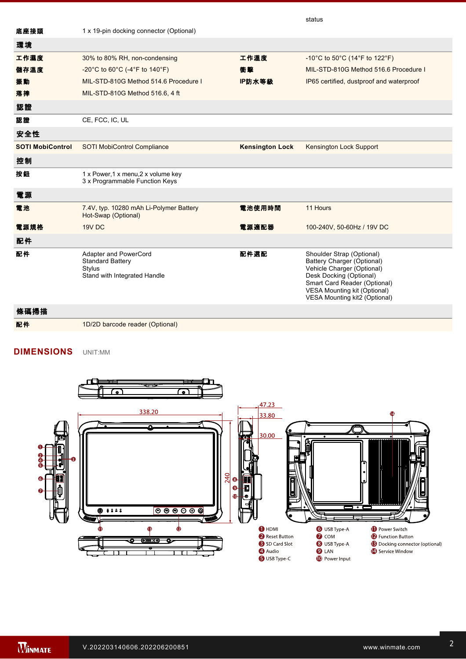|                         |                                                                                                   |                        | status                                                                                                                                                                                                                   |
|-------------------------|---------------------------------------------------------------------------------------------------|------------------------|--------------------------------------------------------------------------------------------------------------------------------------------------------------------------------------------------------------------------|
| 底座接頭                    | 1 x 19-pin docking connector (Optional)                                                           |                        |                                                                                                                                                                                                                          |
| 環境                      |                                                                                                   |                        |                                                                                                                                                                                                                          |
| 工作濕度                    | 30% to 80% RH, non-condensing                                                                     | 工作溫度                   | -10°C to 50°C (14°F to 122°F)                                                                                                                                                                                            |
| 儲存溫度                    | -20°C to 60°C (-4°F to 140°F)                                                                     | 衝擊                     | MIL-STD-810G Method 516.6 Procedure I                                                                                                                                                                                    |
| 振動                      | MIL-STD-810G Method 514.6 Procedure I                                                             | IP防水等級                 | IP65 certified, dustproof and waterproof                                                                                                                                                                                 |
| 落摔                      | MIL-STD-810G Method 516.6, 4 ft                                                                   |                        |                                                                                                                                                                                                                          |
| 認證                      |                                                                                                   |                        |                                                                                                                                                                                                                          |
| 認證                      | CE, FCC, IC, UL                                                                                   |                        |                                                                                                                                                                                                                          |
| 安全性                     |                                                                                                   |                        |                                                                                                                                                                                                                          |
| <b>SOTI MobiControl</b> | <b>SOTI MobiControl Compliance</b>                                                                | <b>Kensington Lock</b> | Kensington Lock Support                                                                                                                                                                                                  |
| 控制                      |                                                                                                   |                        |                                                                                                                                                                                                                          |
| 按鈕                      | 1 x Power, 1 x menu, 2 x volume key<br>3 x Programmable Function Keys                             |                        |                                                                                                                                                                                                                          |
| 電源                      |                                                                                                   |                        |                                                                                                                                                                                                                          |
| 電池                      | 7.4V, typ. 10280 mAh Li-Polymer Battery<br>Hot-Swap (Optional)                                    | 電池使用時間                 | 11 Hours                                                                                                                                                                                                                 |
| 電源規格                    | 19V DC                                                                                            | 電源適配器                  | 100-240V, 50-60Hz / 19V DC                                                                                                                                                                                               |
| 配件                      |                                                                                                   |                        |                                                                                                                                                                                                                          |
| 配件                      | Adapter and PowerCord<br><b>Standard Battery</b><br><b>Stylus</b><br>Stand with Integrated Handle | 配件選配                   | Shoulder Strap (Optional)<br>Battery Charger (Optional)<br>Vehicle Charger (Optional)<br>Desk Docking (Optional)<br>Smart Card Reader (Optional)<br><b>VESA Mounting kit (Optional)</b><br>VESA Mounting kit2 (Optional) |
| 條碼掃描                    |                                                                                                   |                        |                                                                                                                                                                                                                          |
| 配件                      | 1D/2D barcode reader (Optional)                                                                   |                        |                                                                                                                                                                                                                          |

 $1.41\pm0.000$  Mbps LAN  $\pm0.000$ 

Dual Speaker

**DIMENSIONS**  UNIT:MM



 $3.5\,$  The USB 3.0 standard, which does not support Alternate Mode (ALT) or USB  $\alpha$